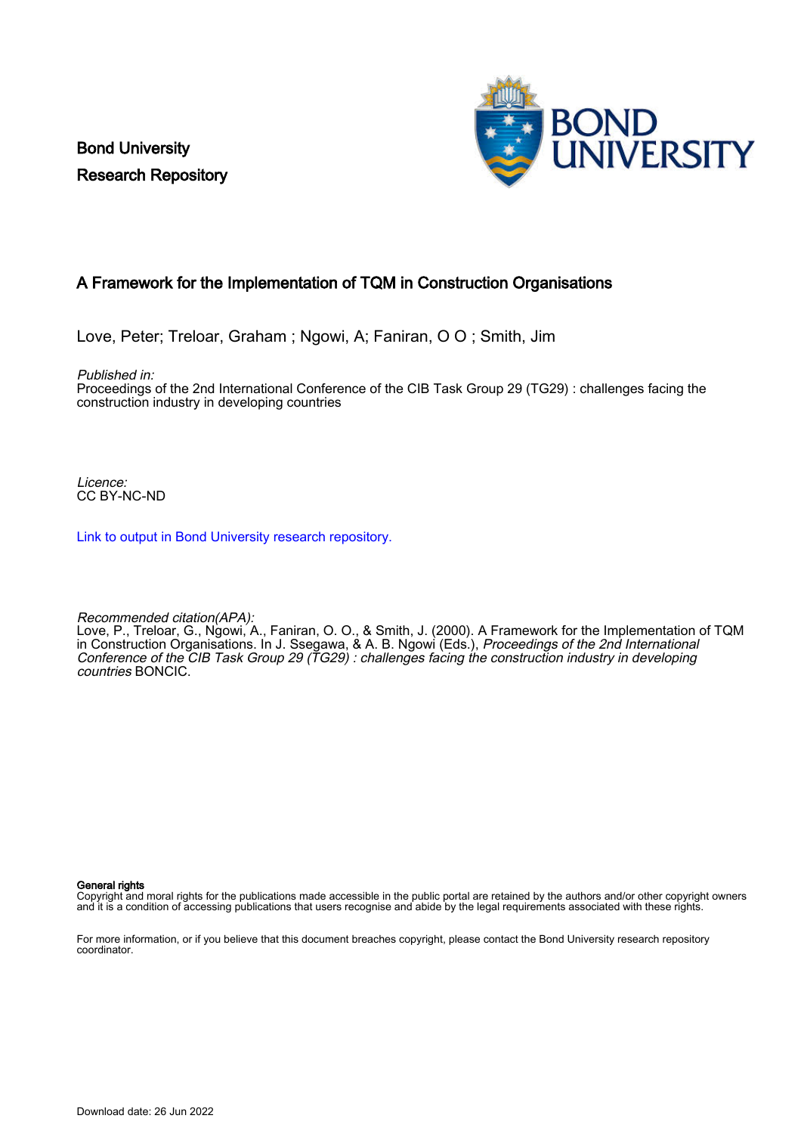Bond University Research Repository



# A Framework for the Implementation of TQM in Construction Organisations

Love, Peter; Treloar, Graham ; Ngowi, A; Faniran, O O ; Smith, Jim

Published in:

Proceedings of the 2nd International Conference of the CIB Task Group 29 (TG29) : challenges facing the construction industry in developing countries

Licence: CC BY-NC-ND

[Link to output in Bond University research repository.](https://research.bond.edu.au/en/publications/89005293-55b1-48a8-9d7e-ac25af1fadc5)

Recommended citation(APA):

Love, P., Treloar, G., Ngowi, A., Faniran, O. O., & Smith, J. (2000). A Framework for the Implementation of TQM in Construction Organisations. In J. Ssegawa, & A. B. Ngowi (Eds.), Proceedings of the 2nd International Conference of the CIB Task Group 29 (TG29) : challenges facing the construction industry in developing countries BONCIC.

General rights

Copyright and moral rights for the publications made accessible in the public portal are retained by the authors and/or other copyright owners and it is a condition of accessing publications that users recognise and abide by the legal requirements associated with these rights.

For more information, or if you believe that this document breaches copyright, please contact the Bond University research repository coordinator.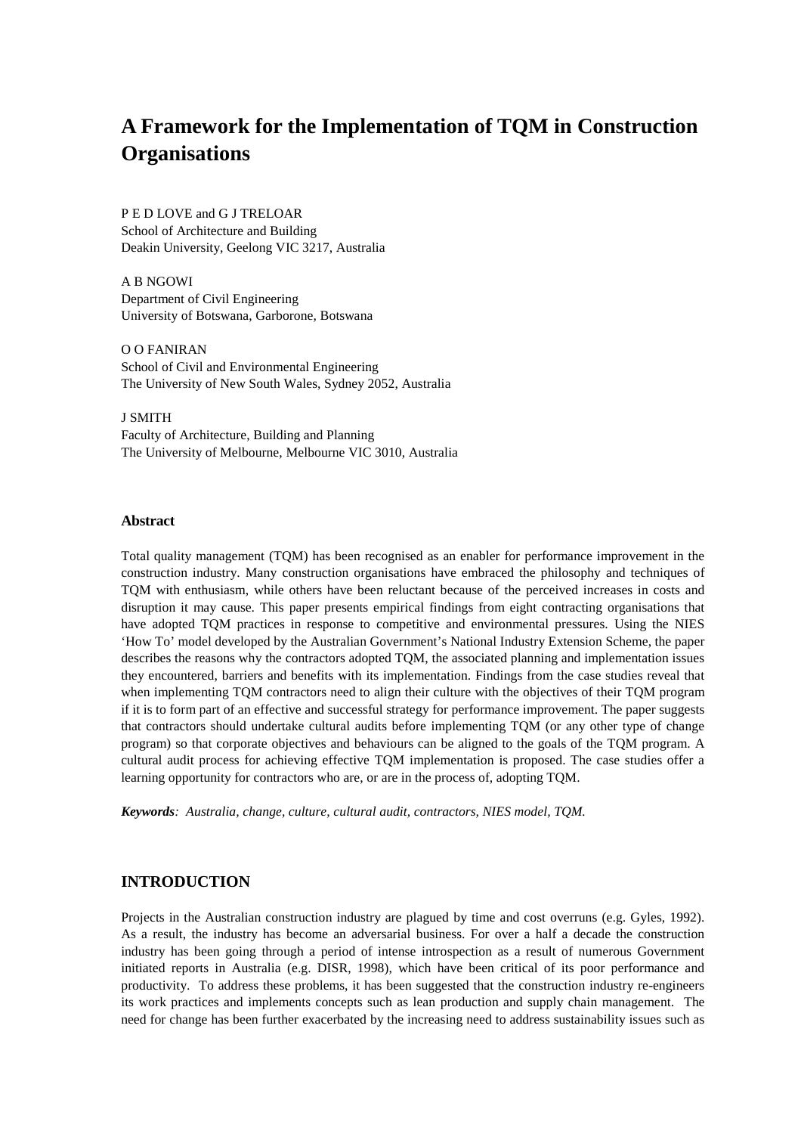# **A Framework for the Implementation of TQM in Construction Organisations**

## P E D LOVE and G J TRELOAR School of Architecture and Building Deakin University, Geelong VIC 3217, Australia

A B NGOWI Department of Civil Engineering University of Botswana, Garborone, Botswana

O O FANIRAN School of Civil and Environmental Engineering The University of New South Wales, Sydney 2052, Australia

J SMITH Faculty of Architecture, Building and Planning The University of Melbourne, Melbourne VIC 3010, Australia

#### **Abstract**

Total quality management (TQM) has been recognised as an enabler for performance improvement in the construction industry. Many construction organisations have embraced the philosophy and techniques of TQM with enthusiasm, while others have been reluctant because of the perceived increases in costs and disruption it may cause. This paper presents empirical findings from eight contracting organisations that have adopted TQM practices in response to competitive and environmental pressures. Using the NIES 'How To' model developed by the Australian Government's National Industry Extension Scheme, the paper describes the reasons why the contractors adopted TQM, the associated planning and implementation issues they encountered, barriers and benefits with its implementation. Findings from the case studies reveal that when implementing TQM contractors need to align their culture with the objectives of their TQM program if it is to form part of an effective and successful strategy for performance improvement. The paper suggests that contractors should undertake cultural audits before implementing TQM (or any other type of change program) so that corporate objectives and behaviours can be aligned to the goals of the TQM program. A cultural audit process for achieving effective TQM implementation is proposed. The case studies offer a learning opportunity for contractors who are, or are in the process of, adopting TQM.

*Keywords: Australia, change, culture, cultural audit, contractors, NIES model, TQM.*

## **INTRODUCTION**

Projects in the Australian construction industry are plagued by time and cost overruns (e.g. Gyles, 1992). As a result, the industry has become an adversarial business. For over a half a decade the construction industry has been going through a period of intense introspection as a result of numerous Government initiated reports in Australia (e.g. DISR, 1998), which have been critical of its poor performance and productivity. To address these problems, it has been suggested that the construction industry re-engineers its work practices and implements concepts such as lean production and supply chain management. The need for change has been further exacerbated by the increasing need to address sustainability issues such as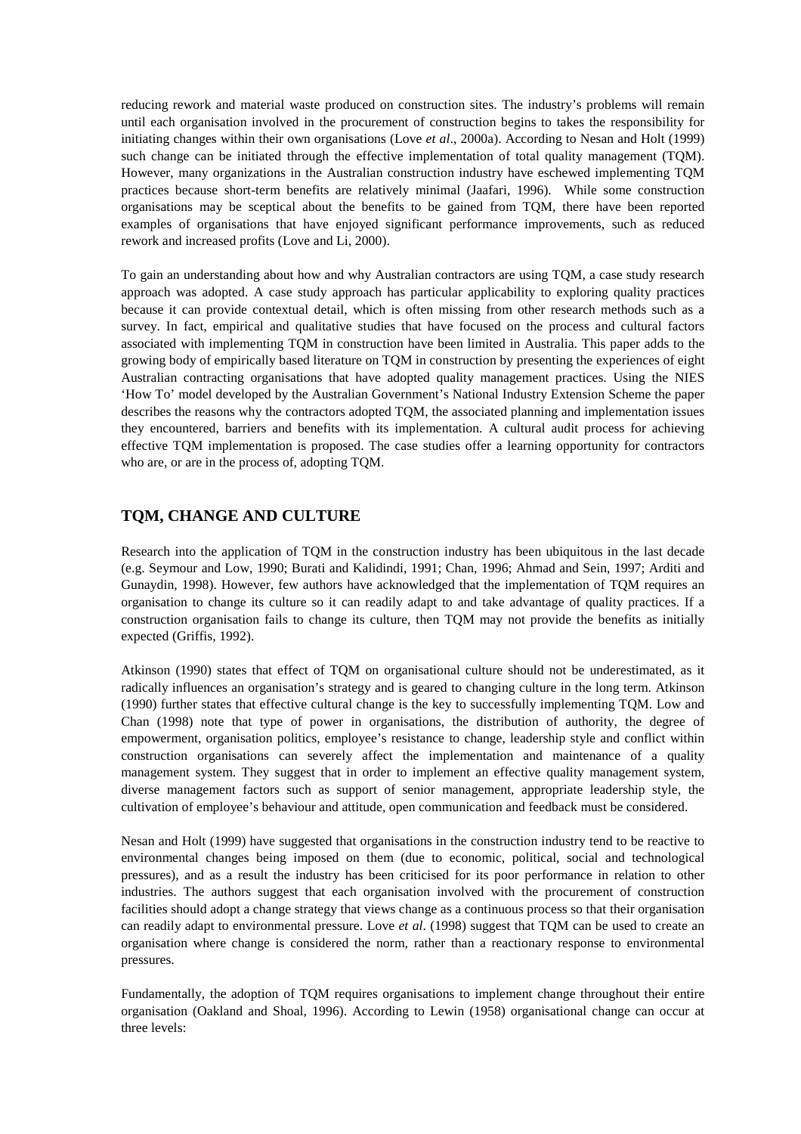reducing rework and material waste produced on construction sites. The industry's problems will remain until each organisation involved in the procurement of construction begins to takes the responsibility for initiating changes within their own organisations (Love *et al*., 2000a). According to Nesan and Holt (1999) such change can be initiated through the effective implementation of total quality management (TQM). However, many organizations in the Australian construction industry have eschewed implementing TQM practices because short-term benefits are relatively minimal (Jaafari, 1996). While some construction organisations may be sceptical about the benefits to be gained from TQM, there have been reported examples of organisations that have enjoyed significant performance improvements, such as reduced rework and increased profits (Love and Li, 2000).

To gain an understanding about how and why Australian contractors are using TQM, a case study research approach was adopted. A case study approach has particular applicability to exploring quality practices because it can provide contextual detail, which is often missing from other research methods such as a survey. In fact, empirical and qualitative studies that have focused on the process and cultural factors associated with implementing TQM in construction have been limited in Australia. This paper adds to the growing body of empirically based literature on TQM in construction by presenting the experiences of eight Australian contracting organisations that have adopted quality management practices. Using the NIES 'How To' model developed by the Australian Government's National Industry Extension Scheme the paper describes the reasons why the contractors adopted TQM, the associated planning and implementation issues they encountered, barriers and benefits with its implementation. A cultural audit process for achieving effective TQM implementation is proposed. The case studies offer a learning opportunity for contractors who are, or are in the process of, adopting TQM.

## **TQM, CHANGE AND CULTURE**

Research into the application of TQM in the construction industry has been ubiquitous in the last decade (e.g. Seymour and Low, 1990; Burati and Kalidindi, 1991; Chan, 1996; Ahmad and Sein, 1997; Arditi and Gunaydin, 1998). However, few authors have acknowledged that the implementation of TQM requires an organisation to change its culture so it can readily adapt to and take advantage of quality practices. If a construction organisation fails to change its culture, then TQM may not provide the benefits as initially expected (Griffis, 1992).

Atkinson (1990) states that effect of TQM on organisational culture should not be underestimated, as it radically influences an organisation's strategy and is geared to changing culture in the long term. Atkinson (1990) further states that effective cultural change is the key to successfully implementing TQM. Low and Chan (1998) note that type of power in organisations, the distribution of authority, the degree of empowerment, organisation politics, employee's resistance to change, leadership style and conflict within construction organisations can severely affect the implementation and maintenance of a quality management system. They suggest that in order to implement an effective quality management system, diverse management factors such as support of senior management, appropriate leadership style, the cultivation of employee's behaviour and attitude, open communication and feedback must be considered.

Nesan and Holt (1999) have suggested that organisations in the construction industry tend to be reactive to environmental changes being imposed on them (due to economic, political, social and technological pressures), and as a result the industry has been criticised for its poor performance in relation to other industries. The authors suggest that each organisation involved with the procurement of construction facilities should adopt a change strategy that views change as a continuous process so that their organisation can readily adapt to environmental pressure. Love *et al*. (1998) suggest that TQM can be used to create an organisation where change is considered the norm, rather than a reactionary response to environmental pressures.

Fundamentally, the adoption of TQM requires organisations to implement change throughout their entire organisation (Oakland and Shoal, 1996). According to Lewin (1958) organisational change can occur at three levels: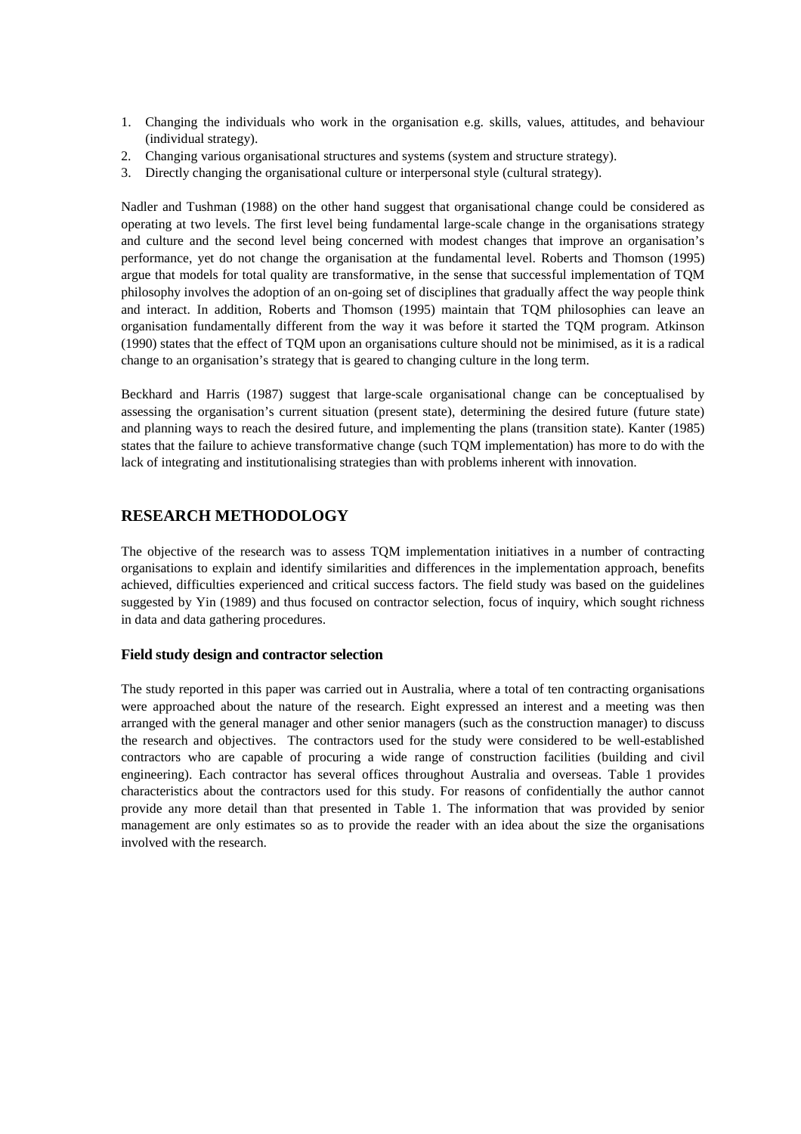- 1. Changing the individuals who work in the organisation e.g. skills, values, attitudes, and behaviour (individual strategy).
- 2. Changing various organisational structures and systems (system and structure strategy).
- 3. Directly changing the organisational culture or interpersonal style (cultural strategy).

Nadler and Tushman (1988) on the other hand suggest that organisational change could be considered as operating at two levels. The first level being fundamental large-scale change in the organisations strategy and culture and the second level being concerned with modest changes that improve an organisation's performance, yet do not change the organisation at the fundamental level. Roberts and Thomson (1995) argue that models for total quality are transformative, in the sense that successful implementation of TQM philosophy involves the adoption of an on-going set of disciplines that gradually affect the way people think and interact. In addition, Roberts and Thomson (1995) maintain that TQM philosophies can leave an organisation fundamentally different from the way it was before it started the TQM program. Atkinson (1990) states that the effect of TQM upon an organisations culture should not be minimised, as it is a radical change to an organisation's strategy that is geared to changing culture in the long term.

Beckhard and Harris (1987) suggest that large-scale organisational change can be conceptualised by assessing the organisation's current situation (present state), determining the desired future (future state) and planning ways to reach the desired future, and implementing the plans (transition state). Kanter (1985) states that the failure to achieve transformative change (such TQM implementation) has more to do with the lack of integrating and institutionalising strategies than with problems inherent with innovation.

## **RESEARCH METHODOLOGY**

The objective of the research was to assess TQM implementation initiatives in a number of contracting organisations to explain and identify similarities and differences in the implementation approach, benefits achieved, difficulties experienced and critical success factors. The field study was based on the guidelines suggested by Yin (1989) and thus focused on contractor selection, focus of inquiry, which sought richness in data and data gathering procedures.

## **Field study design and contractor selection**

The study reported in this paper was carried out in Australia, where a total of ten contracting organisations were approached about the nature of the research. Eight expressed an interest and a meeting was then arranged with the general manager and other senior managers (such as the construction manager) to discuss the research and objectives. The contractors used for the study were considered to be well-established contractors who are capable of procuring a wide range of construction facilities (building and civil engineering). Each contractor has several offices throughout Australia and overseas. Table 1 provides characteristics about the contractors used for this study. For reasons of confidentially the author cannot provide any more detail than that presented in Table 1. The information that was provided by senior management are only estimates so as to provide the reader with an idea about the size the organisations involved with the research.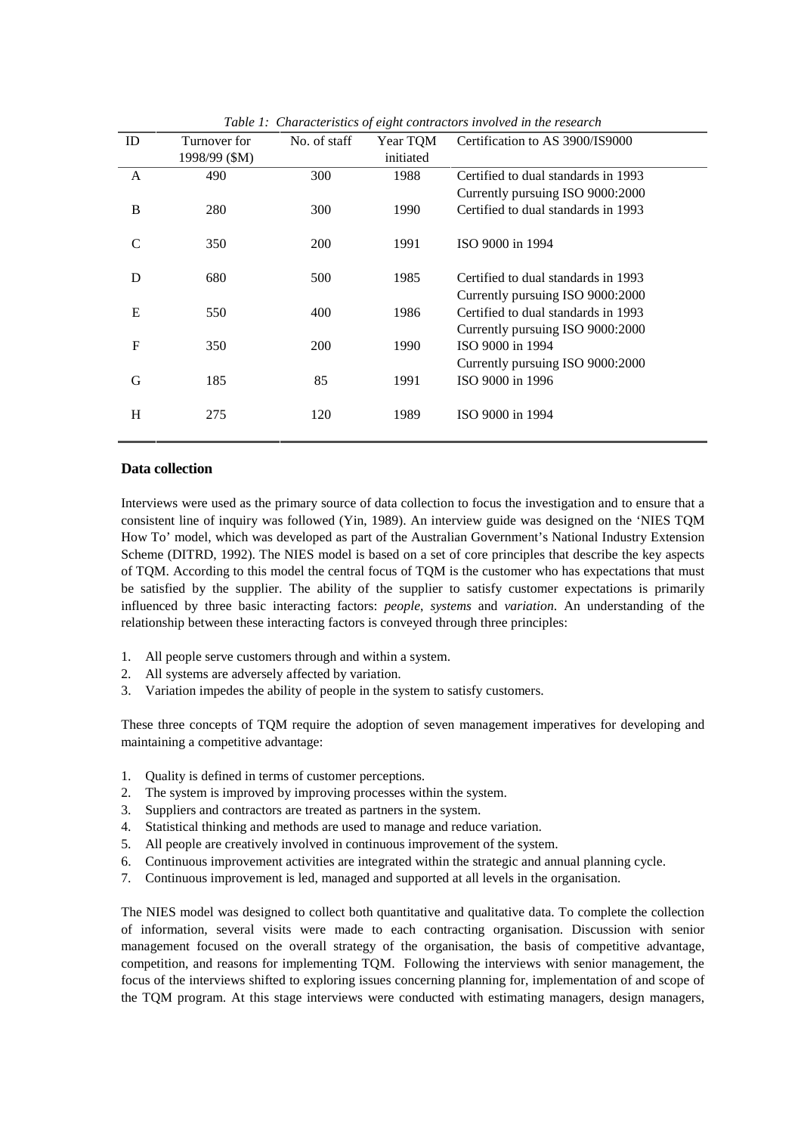| ID | Turnover for  | No. of staff | Year TQM  | Certification to AS 3900/IS9000     |
|----|---------------|--------------|-----------|-------------------------------------|
|    | 1998/99 (\$M) |              | initiated |                                     |
| A  | 490           | 300          | 1988      | Certified to dual standards in 1993 |
|    |               |              |           | Currently pursuing ISO 9000:2000    |
| B  | 280           | 300          | 1990      | Certified to dual standards in 1993 |
|    |               |              |           |                                     |
| C  | 350           | 200          | 1991      | ISO 9000 in 1994                    |
|    |               |              |           |                                     |
| D  | 680           | 500          | 1985      | Certified to dual standards in 1993 |
|    |               |              |           | Currently pursuing ISO 9000:2000    |
| E  | 550           | 400          | 1986      | Certified to dual standards in 1993 |
|    |               |              |           | Currently pursuing ISO 9000:2000    |
| F  | 350           | <b>200</b>   | 1990      | ISO 9000 in 1994                    |
|    |               |              |           | Currently pursuing ISO 9000:2000    |
| G  | 185           | 85           | 1991      | ISO 9000 in 1996                    |
|    |               |              |           |                                     |
| H  | 275           | 120          | 1989      | ISO 9000 in 1994                    |
|    |               |              |           |                                     |
|    |               |              |           |                                     |

*Table 1: Characteristics of eight contractors involved in the research* 

#### **Data collection**

Interviews were used as the primary source of data collection to focus the investigation and to ensure that a consistent line of inquiry was followed (Yin, 1989). An interview guide was designed on the 'NIES TQM How To' model, which was developed as part of the Australian Government's National Industry Extension Scheme (DITRD, 1992). The NIES model is based on a set of core principles that describe the key aspects of TQM. According to this model the central focus of TQM is the customer who has expectations that must be satisfied by the supplier. The ability of the supplier to satisfy customer expectations is primarily influenced by three basic interacting factors: *people*, *systems* and *variation*. An understanding of the relationship between these interacting factors is conveyed through three principles:

- 1. All people serve customers through and within a system.
- 2. All systems are adversely affected by variation.
- 3. Variation impedes the ability of people in the system to satisfy customers.

These three concepts of TQM require the adoption of seven management imperatives for developing and maintaining a competitive advantage:

- 1. Quality is defined in terms of customer perceptions.
- 2. The system is improved by improving processes within the system.
- 3. Suppliers and contractors are treated as partners in the system.
- 4. Statistical thinking and methods are used to manage and reduce variation.
- 5. All people are creatively involved in continuous improvement of the system.
- 6. Continuous improvement activities are integrated within the strategic and annual planning cycle.
- 7. Continuous improvement is led, managed and supported at all levels in the organisation.

The NIES model was designed to collect both quantitative and qualitative data. To complete the collection of information, several visits were made to each contracting organisation. Discussion with senior management focused on the overall strategy of the organisation, the basis of competitive advantage, competition, and reasons for implementing TQM. Following the interviews with senior management, the focus of the interviews shifted to exploring issues concerning planning for, implementation of and scope of the TQM program. At this stage interviews were conducted with estimating managers, design managers,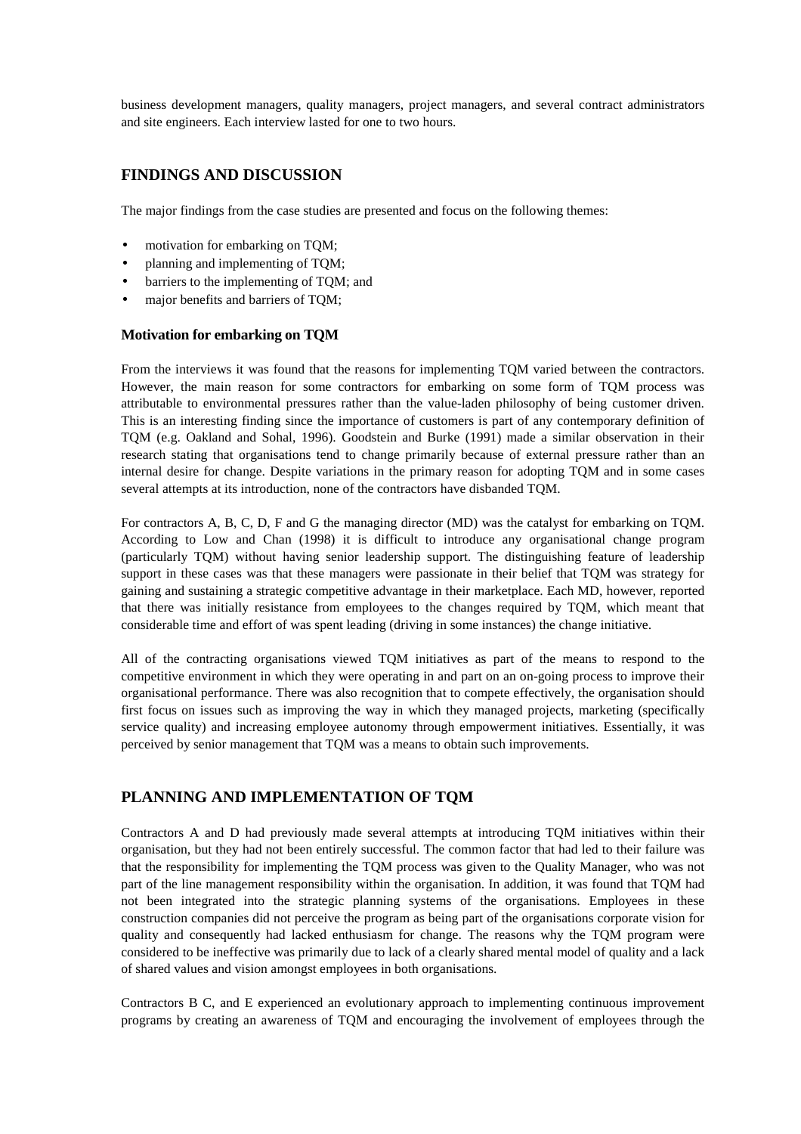business development managers, quality managers, project managers, and several contract administrators and site engineers. Each interview lasted for one to two hours.

## **FINDINGS AND DISCUSSION**

The major findings from the case studies are presented and focus on the following themes:

- motivation for embarking on TOM:
- planning and implementing of TOM;
- barriers to the implementing of TQM; and
- major benefits and barriers of TOM;

#### **Motivation for embarking on TQM**

From the interviews it was found that the reasons for implementing TQM varied between the contractors. However, the main reason for some contractors for embarking on some form of TQM process was attributable to environmental pressures rather than the value-laden philosophy of being customer driven. This is an interesting finding since the importance of customers is part of any contemporary definition of TQM (e.g. Oakland and Sohal, 1996). Goodstein and Burke (1991) made a similar observation in their research stating that organisations tend to change primarily because of external pressure rather than an internal desire for change. Despite variations in the primary reason for adopting TQM and in some cases several attempts at its introduction, none of the contractors have disbanded TQM.

For contractors A, B, C, D, F and G the managing director (MD) was the catalyst for embarking on TQM. According to Low and Chan (1998) it is difficult to introduce any organisational change program (particularly TQM) without having senior leadership support. The distinguishing feature of leadership support in these cases was that these managers were passionate in their belief that TQM was strategy for gaining and sustaining a strategic competitive advantage in their marketplace. Each MD, however, reported that there was initially resistance from employees to the changes required by TQM, which meant that considerable time and effort of was spent leading (driving in some instances) the change initiative.

All of the contracting organisations viewed TQM initiatives as part of the means to respond to the competitive environment in which they were operating in and part on an on-going process to improve their organisational performance. There was also recognition that to compete effectively, the organisation should first focus on issues such as improving the way in which they managed projects, marketing (specifically service quality) and increasing employee autonomy through empowerment initiatives. Essentially, it was perceived by senior management that TQM was a means to obtain such improvements.

## **PLANNING AND IMPLEMENTATION OF TQM**

Contractors A and D had previously made several attempts at introducing TQM initiatives within their organisation, but they had not been entirely successful. The common factor that had led to their failure was that the responsibility for implementing the TQM process was given to the Quality Manager, who was not part of the line management responsibility within the organisation. In addition, it was found that TQM had not been integrated into the strategic planning systems of the organisations. Employees in these construction companies did not perceive the program as being part of the organisations corporate vision for quality and consequently had lacked enthusiasm for change. The reasons why the TQM program were considered to be ineffective was primarily due to lack of a clearly shared mental model of quality and a lack of shared values and vision amongst employees in both organisations.

Contractors B C, and E experienced an evolutionary approach to implementing continuous improvement programs by creating an awareness of TQM and encouraging the involvement of employees through the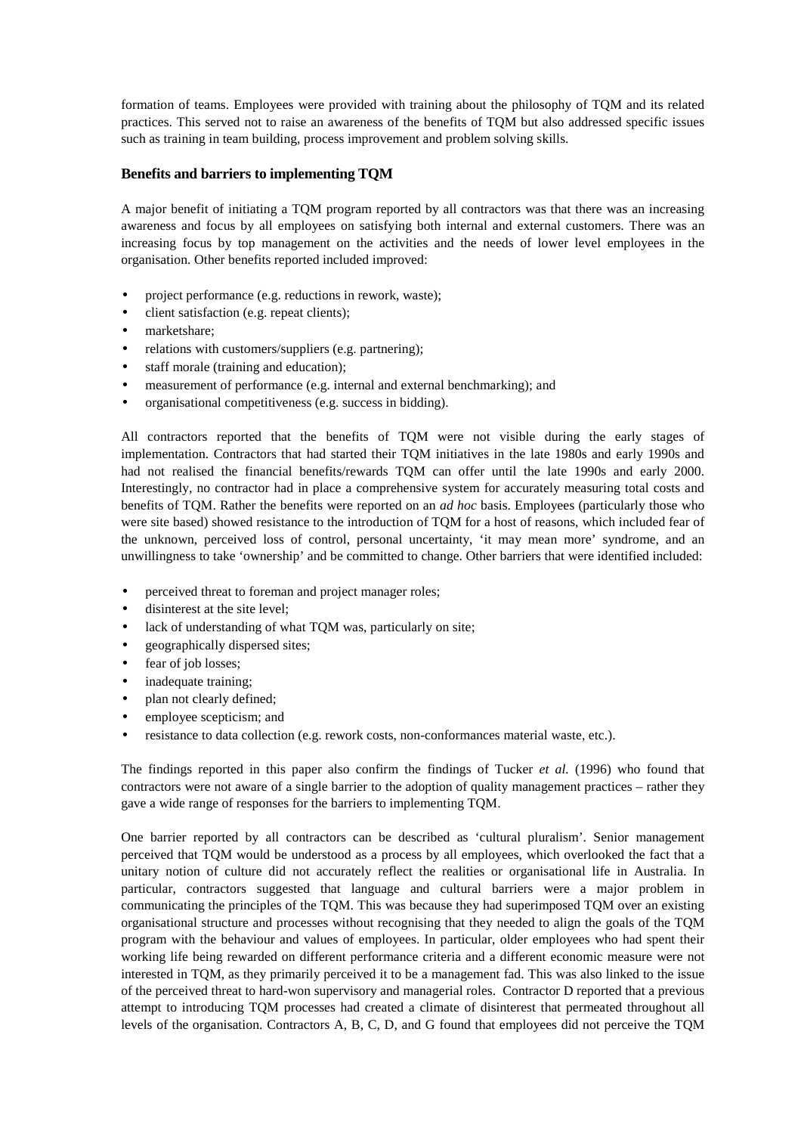formation of teams. Employees were provided with training about the philosophy of TQM and its related practices. This served not to raise an awareness of the benefits of TQM but also addressed specific issues such as training in team building, process improvement and problem solving skills.

## **Benefits and barriers to implementing TQM**

A major benefit of initiating a TQM program reported by all contractors was that there was an increasing awareness and focus by all employees on satisfying both internal and external customers. There was an increasing focus by top management on the activities and the needs of lower level employees in the organisation. Other benefits reported included improved:

- project performance (e.g. reductions in rework, waste);
- client satisfaction (e.g. repeat clients);
- marketshare;
- relations with customers/suppliers (e.g. partnering);
- staff morale (training and education);
- measurement of performance (e.g. internal and external benchmarking); and
- organisational competitiveness (e.g. success in bidding).

All contractors reported that the benefits of TQM were not visible during the early stages of implementation. Contractors that had started their TQM initiatives in the late 1980s and early 1990s and had not realised the financial benefits/rewards TQM can offer until the late 1990s and early 2000. Interestingly, no contractor had in place a comprehensive system for accurately measuring total costs and benefits of TQM. Rather the benefits were reported on an *ad hoc* basis. Employees (particularly those who were site based) showed resistance to the introduction of TQM for a host of reasons, which included fear of the unknown, perceived loss of control, personal uncertainty, 'it may mean more' syndrome, and an unwillingness to take 'ownership' and be committed to change. Other barriers that were identified included:

- perceived threat to foreman and project manager roles;
- disinterest at the site level:
- lack of understanding of what TQM was, particularly on site;
- geographically dispersed sites;
- fear of job losses;
- inadequate training;
- plan not clearly defined;
- employee scepticism; and
- resistance to data collection (e.g. rework costs, non-conformances material waste, etc.).

The findings reported in this paper also confirm the findings of Tucker *et al.* (1996) who found that contractors were not aware of a single barrier to the adoption of quality management practices – rather they gave a wide range of responses for the barriers to implementing TQM.

One barrier reported by all contractors can be described as 'cultural pluralism'. Senior management perceived that TQM would be understood as a process by all employees, which overlooked the fact that a unitary notion of culture did not accurately reflect the realities or organisational life in Australia. In particular, contractors suggested that language and cultural barriers were a major problem in communicating the principles of the TQM. This was because they had superimposed TQM over an existing organisational structure and processes without recognising that they needed to align the goals of the TQM program with the behaviour and values of employees. In particular, older employees who had spent their working life being rewarded on different performance criteria and a different economic measure were not interested in TQM, as they primarily perceived it to be a management fad. This was also linked to the issue of the perceived threat to hard-won supervisory and managerial roles. Contractor D reported that a previous attempt to introducing TQM processes had created a climate of disinterest that permeated throughout all levels of the organisation. Contractors A, B, C, D, and G found that employees did not perceive the TQM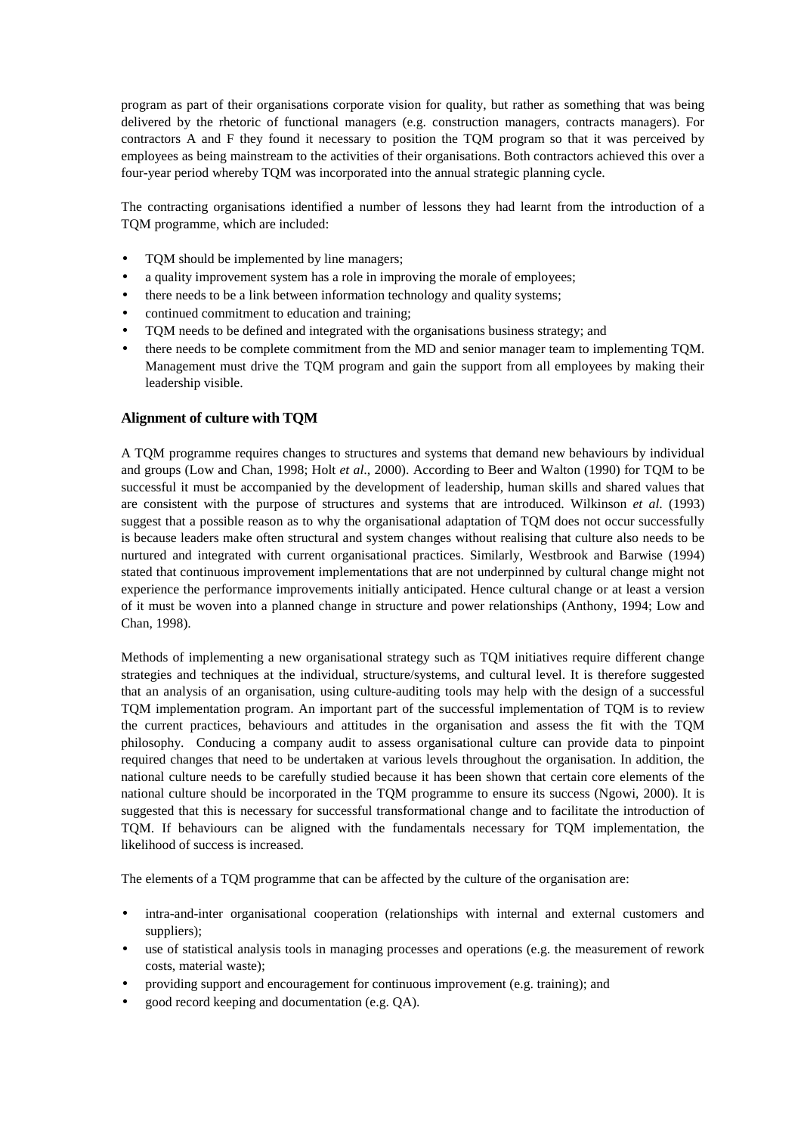program as part of their organisations corporate vision for quality, but rather as something that was being delivered by the rhetoric of functional managers (e.g. construction managers, contracts managers). For contractors A and F they found it necessary to position the TQM program so that it was perceived by employees as being mainstream to the activities of their organisations. Both contractors achieved this over a four-year period whereby TQM was incorporated into the annual strategic planning cycle.

The contracting organisations identified a number of lessons they had learnt from the introduction of a TQM programme, which are included:

- TQM should be implemented by line managers;
- a quality improvement system has a role in improving the morale of employees;
- there needs to be a link between information technology and quality systems;
- continued commitment to education and training;
- TQM needs to be defined and integrated with the organisations business strategy; and
- there needs to be complete commitment from the MD and senior manager team to implementing TQM. Management must drive the TQM program and gain the support from all employees by making their leadership visible.

## **Alignment of culture with TQM**

A TQM programme requires changes to structures and systems that demand new behaviours by individual and groups (Low and Chan, 1998; Holt *et al*., 2000). According to Beer and Walton (1990) for TQM to be successful it must be accompanied by the development of leadership, human skills and shared values that are consistent with the purpose of structures and systems that are introduced. Wilkinson *et al*. (1993) suggest that a possible reason as to why the organisational adaptation of TQM does not occur successfully is because leaders make often structural and system changes without realising that culture also needs to be nurtured and integrated with current organisational practices. Similarly, Westbrook and Barwise (1994) stated that continuous improvement implementations that are not underpinned by cultural change might not experience the performance improvements initially anticipated. Hence cultural change or at least a version of it must be woven into a planned change in structure and power relationships (Anthony, 1994; Low and Chan, 1998).

Methods of implementing a new organisational strategy such as TQM initiatives require different change strategies and techniques at the individual, structure/systems, and cultural level. It is therefore suggested that an analysis of an organisation, using culture-auditing tools may help with the design of a successful TQM implementation program. An important part of the successful implementation of TQM is to review the current practices, behaviours and attitudes in the organisation and assess the fit with the TQM philosophy. Conducing a company audit to assess organisational culture can provide data to pinpoint required changes that need to be undertaken at various levels throughout the organisation. In addition, the national culture needs to be carefully studied because it has been shown that certain core elements of the national culture should be incorporated in the TQM programme to ensure its success (Ngowi, 2000). It is suggested that this is necessary for successful transformational change and to facilitate the introduction of TQM. If behaviours can be aligned with the fundamentals necessary for TQM implementation, the likelihood of success is increased.

The elements of a TQM programme that can be affected by the culture of the organisation are:

- intra-and-inter organisational cooperation (relationships with internal and external customers and suppliers);
- use of statistical analysis tools in managing processes and operations (e.g. the measurement of rework costs, material waste);
- providing support and encouragement for continuous improvement (e.g. training); and
- good record keeping and documentation (e.g. QA).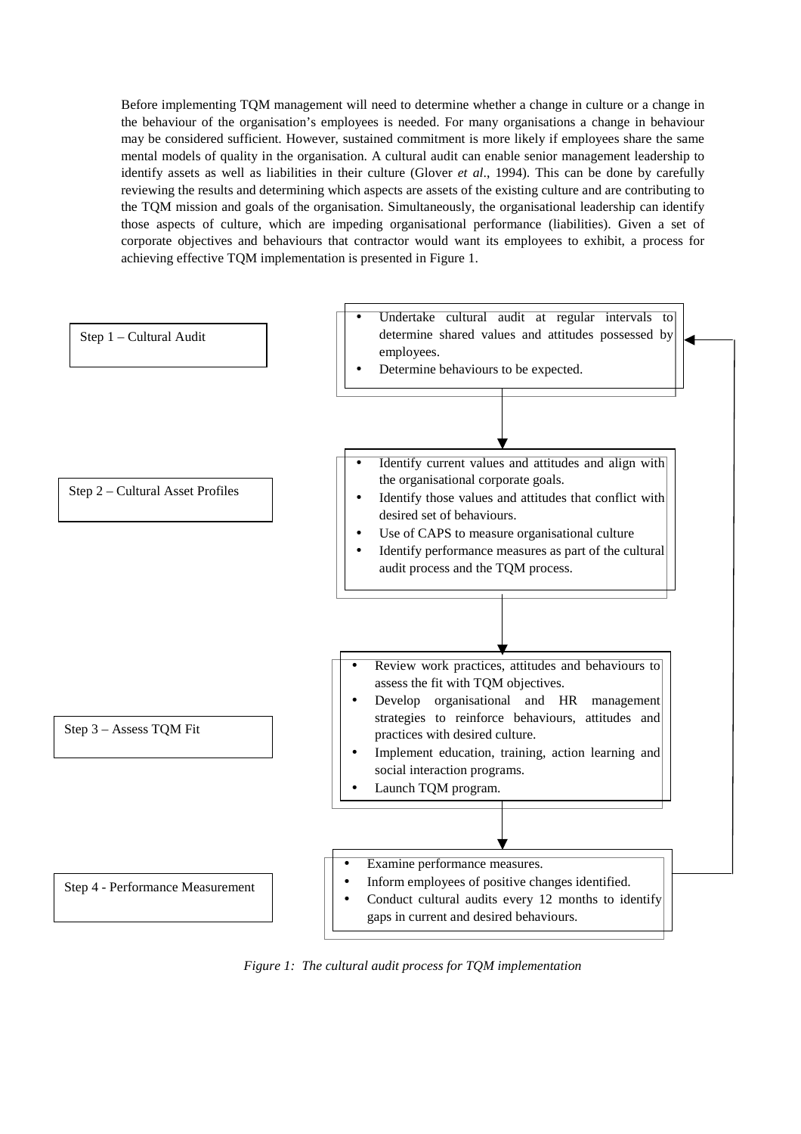Before implementing TQM management will need to determine whether a change in culture or a change in the behaviour of the organisation's employees is needed. For many organisations a change in behaviour may be considered sufficient. However, sustained commitment is more likely if employees share the same mental models of quality in the organisation. A cultural audit can enable senior management leadership to identify assets as well as liabilities in their culture (Glover *et al*., 1994). This can be done by carefully reviewing the results and determining which aspects are assets of the existing culture and are contributing to the TQM mission and goals of the organisation. Simultaneously, the organisational leadership can identify those aspects of culture, which are impeding organisational performance (liabilities). Given a set of corporate objectives and behaviours that contractor would want its employees to exhibit, a process for achieving effective TQM implementation is presented in Figure 1.



*Figure 1: The cultural audit process for TQM implementation*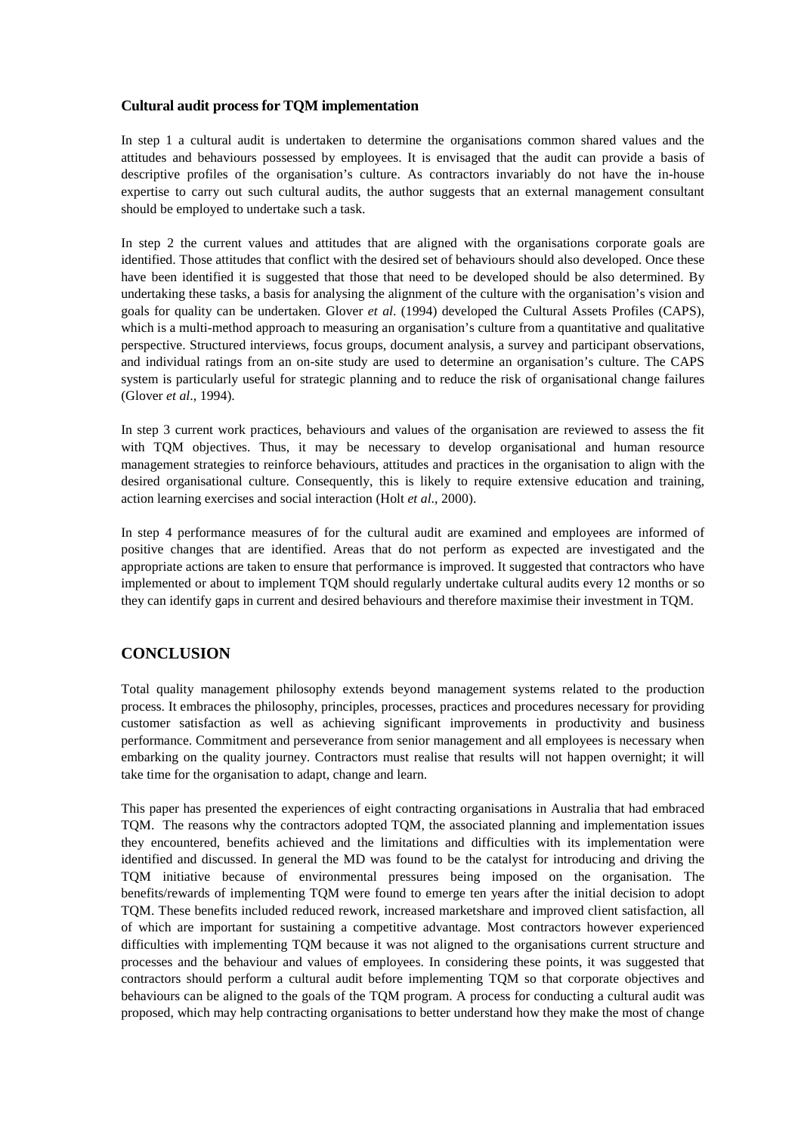## **Cultural audit process for TQM implementation**

In step 1 a cultural audit is undertaken to determine the organisations common shared values and the attitudes and behaviours possessed by employees. It is envisaged that the audit can provide a basis of descriptive profiles of the organisation's culture. As contractors invariably do not have the in-house expertise to carry out such cultural audits, the author suggests that an external management consultant should be employed to undertake such a task.

In step 2 the current values and attitudes that are aligned with the organisations corporate goals are identified. Those attitudes that conflict with the desired set of behaviours should also developed. Once these have been identified it is suggested that those that need to be developed should be also determined. By undertaking these tasks, a basis for analysing the alignment of the culture with the organisation's vision and goals for quality can be undertaken. Glover *et al*. (1994) developed the Cultural Assets Profiles (CAPS), which is a multi-method approach to measuring an organisation's culture from a quantitative and qualitative perspective. Structured interviews, focus groups, document analysis, a survey and participant observations, and individual ratings from an on-site study are used to determine an organisation's culture. The CAPS system is particularly useful for strategic planning and to reduce the risk of organisational change failures (Glover *et al*., 1994).

In step 3 current work practices, behaviours and values of the organisation are reviewed to assess the fit with TQM objectives. Thus, it may be necessary to develop organisational and human resource management strategies to reinforce behaviours, attitudes and practices in the organisation to align with the desired organisational culture. Consequently, this is likely to require extensive education and training, action learning exercises and social interaction (Holt *et al*., 2000).

In step 4 performance measures of for the cultural audit are examined and employees are informed of positive changes that are identified. Areas that do not perform as expected are investigated and the appropriate actions are taken to ensure that performance is improved. It suggested that contractors who have implemented or about to implement TQM should regularly undertake cultural audits every 12 months or so they can identify gaps in current and desired behaviours and therefore maximise their investment in TQM.

## **CONCLUSION**

Total quality management philosophy extends beyond management systems related to the production process. It embraces the philosophy, principles, processes, practices and procedures necessary for providing customer satisfaction as well as achieving significant improvements in productivity and business performance. Commitment and perseverance from senior management and all employees is necessary when embarking on the quality journey. Contractors must realise that results will not happen overnight; it will take time for the organisation to adapt, change and learn.

This paper has presented the experiences of eight contracting organisations in Australia that had embraced TQM. The reasons why the contractors adopted TQM, the associated planning and implementation issues they encountered, benefits achieved and the limitations and difficulties with its implementation were identified and discussed. In general the MD was found to be the catalyst for introducing and driving the TQM initiative because of environmental pressures being imposed on the organisation. The benefits/rewards of implementing TQM were found to emerge ten years after the initial decision to adopt TQM. These benefits included reduced rework, increased marketshare and improved client satisfaction, all of which are important for sustaining a competitive advantage. Most contractors however experienced difficulties with implementing TQM because it was not aligned to the organisations current structure and processes and the behaviour and values of employees. In considering these points, it was suggested that contractors should perform a cultural audit before implementing TQM so that corporate objectives and behaviours can be aligned to the goals of the TQM program. A process for conducting a cultural audit was proposed, which may help contracting organisations to better understand how they make the most of change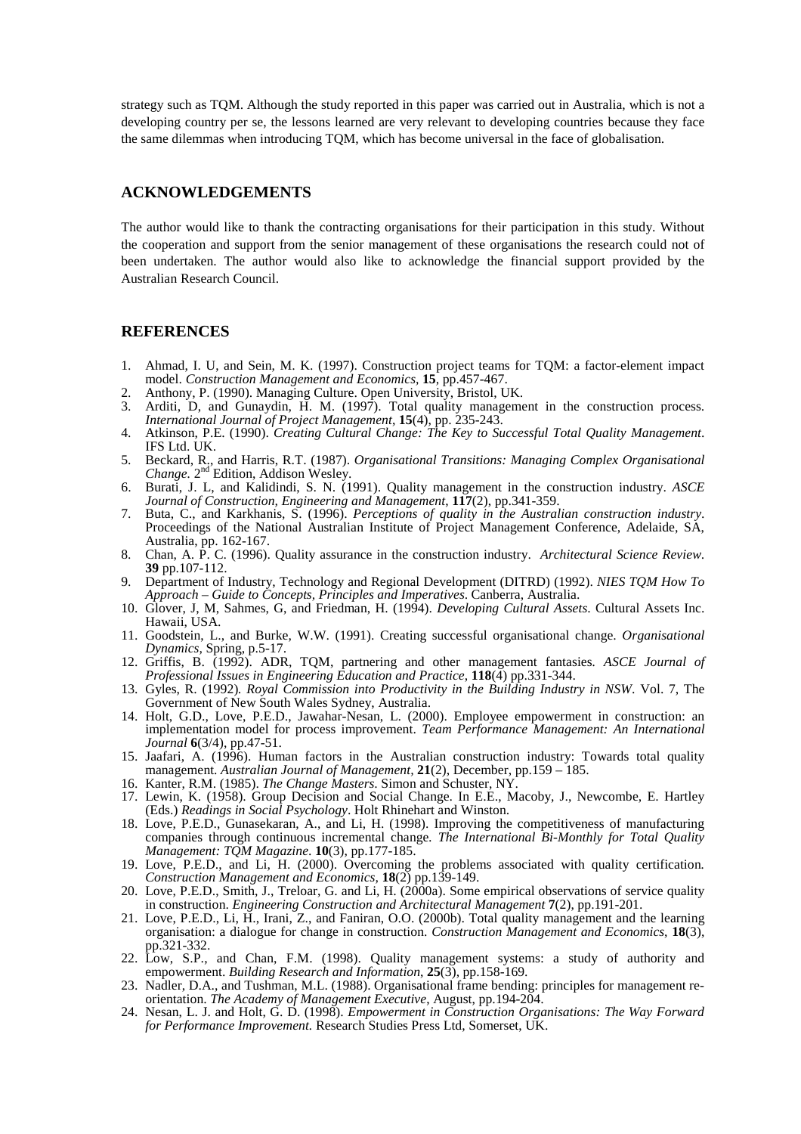strategy such as TQM. Although the study reported in this paper was carried out in Australia, which is not a developing country per se, the lessons learned are very relevant to developing countries because they face the same dilemmas when introducing TQM, which has become universal in the face of globalisation.

## **ACKNOWLEDGEMENTS**

The author would like to thank the contracting organisations for their participation in this study. Without the cooperation and support from the senior management of these organisations the research could not of been undertaken. The author would also like to acknowledge the financial support provided by the Australian Research Council.

#### **REFERENCES**

- 1. Ahmad, I. U, and Sein, M. K. (1997). Construction project teams for TQM: a factor-element impact model. *Construction Management and Economics,* **15***,* pp.457-467.
- 2. Anthony, P. (1990). Managing Culture. Open University, Bristol, UK.
- 3. Arditi, D, and Gunaydin, H. M. (1997). Total quality management in the construction process. *International Journal of Project Management*, **15**(4), pp. 235-243.
- 4. Atkinson, P.E. (1990). *Creating Cultural Change: The Key to Successful Total Quality Management*. IFS Ltd. UK.
- 5. Beckard, R., and Harris, R.T. (1987). *Organisational Transitions: Managing Complex Organisational Change.* 2nd Edition, Addison Wesley.
- 6. Burati, J. L, and Kalidindi, S. N. (1991). Quality management in the construction industry. *ASCE Journal of Construction, Engineering and Management*, **117**(2), pp.341-359.
- 7. Buta, C., and Karkhanis, S. (1996). *Perceptions of quality in the Australian construction industry*. Proceedings of the National Australian Institute of Project Management Conference, Adelaide, SA, Australia, pp. 162-167.
- 8. Chan, A. P. C. (1996). Quality assurance in the construction industry. *Architectural Science Review*. **39** pp.107-112.
- 9. Department of Industry, Technology and Regional Development (DITRD) (1992). *NIES TQM How To Approach – Guide to Concepts, Principles and Imperatives*. Canberra, Australia.
- 10. Glover, J, M, Sahmes, G, and Friedman, H. (1994). *Developing Cultural Assets*. Cultural Assets Inc. Hawaii, USA.
- 11. Goodstein, L., and Burke, W.W. (1991). Creating successful organisational change. *Organisational Dynamics,* Spring, p.5-17.
- 12. Griffis, B. (1992). ADR, TQM, partnering and other management fantasies*. ASCE Journal of Professional Issues in Engineering Education and Practice*, **118**(4) pp.331-344.
- 13. Gyles, R. (1992)*. Royal Commission into Productivity in the Building Industry in NSW*. Vol. 7, The Government of New South Wales Sydney, Australia.
- 14. Holt, G.D., Love, P.E.D., Jawahar-Nesan, L. (2000). Employee empowerment in construction: an implementation model for process improvement. *Team Performance Management: An International Journal* **6**(3/4), pp.47-51.
- 15. Jaafari, A. (1996). Human factors in the Australian construction industry: Towards total quality management. *Australian Journal of Management,* **21**(2), December, pp.159 – 185.
- 16. Kanter, R.M. (1985). *The Change Masters*. Simon and Schuster, NY.
- 17. Lewin, K. (1958). Group Decision and Social Change. In E.E., Macoby, J., Newcombe, E. Hartley (Eds.) *Readings in Social Psychology*. Holt Rhinehart and Winston.
- 18. Love, P.E.D., Gunasekaran, A., and Li, H. (1998). Improving the competitiveness of manufacturing companies through continuous incremental change*. The International Bi-Monthly for Total Quality Management: TQM Magazine*. **10**(3), pp.177-185.
- 19. Love, P.E.D., and Li, H. (2000). Overcoming the problems associated with quality certification*. Construction Management and Economics,* **18**(2) pp.139-149.
- 20. Love, P.E.D., Smith, J., Treloar, G. and Li, H. (2000a). Some empirical observations of service quality in construction. *Engineering Construction and Architectural Management* **7**(2), pp.191-201.
- 21. Love, P.E.D., Li, H., Irani, Z., and Faniran, O.O. (2000b). Total quality management and the learning organisation: a dialogue for change in construction. *Construction Management and Economics*, **18**(3), pp.321-332.
- 22. Low, S.P., and Chan, F.M. (1998). Quality management systems: a study of authority and empowerment. *Building Research and Information*, **25**(3), pp.158-169.
- 23. Nadler, D.A., and Tushman, M.L. (1988). Organisational frame bending: principles for management reorientation. *The Academy of Management Executive*, August, pp.194-204.
- 24. Nesan, L. J. and Holt, G. D. (1998). *Empowerment in Construction Organisations: The Way Forward for Performance Improvement.* Research Studies Press Ltd, Somerset, UK.